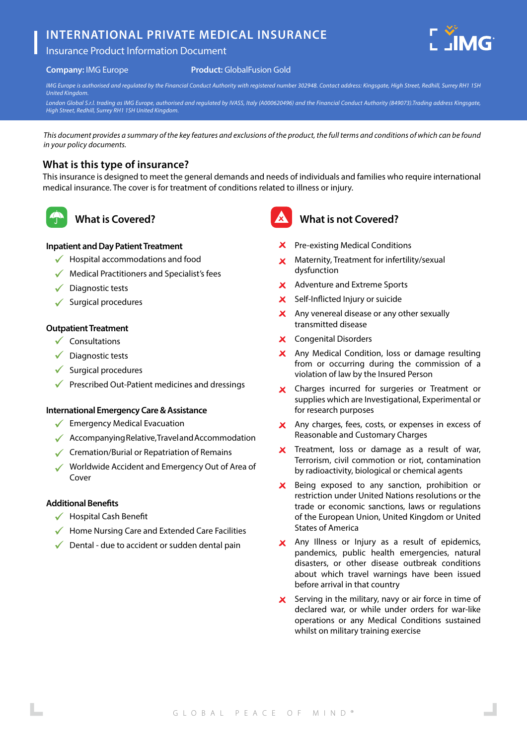# **INTERNATIONAL PRIVATE MEDICAL INSURANCE**



#### **Company:** IMG Europe

#### **Product:** GlobalFusion Gold

*IMG Europe is authorised and regulated by the Financial Conduct Authority with registered number 302948. Contact address: Kingsgate, High Street, Redhill, Surrey RH1 1SH United Kingdom.*

*London Global S.r.l. trading as IMG Europe, authorised and regulated by IVASS, Italy (A000620496) and the Financial Conduct Authority (849073).Trading address Kingsgate, High Street, Redhill, Surrey RH1 1SH United Kingdom.*

*This document provides a summary of the key features and exclusions of the product, the full terms and conditions of which can be found in your policy documents.*

## **What is this type of insurance?**

This insurance is designed to meet the general demands and needs of individuals and families who require international medical insurance. The cover is for treatment of conditions related to illness or injury.



## **What is Covered?**

### **Inpatient and Day Patient Treatment**

- $\checkmark$  Hospital accommodations and food
- $\sqrt{\phantom{a}}$  Medical Practitioners and Specialist's fees
- $\checkmark$  Diagnostic tests
- $\checkmark$  Surgical procedures

#### **Outpatient Treatment**

- $\checkmark$  Consultations
- $\sqrt{\phantom{a}}$  Diagnostic tests
- $\checkmark$  Surgical procedures
- $\sqrt{\phantom{a}}$  Prescribed Out-Patient medicines and dressings

#### **International Emergency Care & Assistance**

- $\checkmark$  Emergency Medical Evacuation
- $\sqrt{\phantom{a}}$  Accompanying Relative, Travel and Accommodation
- $\checkmark$  Cremation/Burial or Repatriation of Remains
- Worldwide Accident and Emergency Out of Area of Cover

#### **Additional Benefits**

- $\checkmark$  Hospital Cash Benefit
- $\sqrt{\phantom{a}}$  Home Nursing Care and Extended Care Facilities
- $\sqrt{\phantom{a}}$  Dental due to accident or sudden dental pain



## **What is not Covered?**

- **X** Pre-existing Medical Conditions
- $\times$  Maternity, Treatment for infertility/sexual dysfunction
- X Adventure and Extreme Sports
- Self-Inflicted Injury or suicide  $\mathbf{x}$
- $\mathsf{\times}$  Any venereal disease or any other sexually transmitted disease
- Congenital Disorders
- X Any Medical Condition, loss or damage resulting from or occurring during the commission of a violation of law by the Insured Person
- Charges incurred for surgeries or Treatment or  $\mathsf{x}$ supplies which are Investigational, Experimental or for research purposes
- X Any charges, fees, costs, or expenses in excess of Reasonable and Customary Charges
- $\boldsymbol{\times}$  Treatment, loss or damage as a result of war, Terrorism, civil commotion or riot, contamination by radioactivity, biological or chemical agents
- Being exposed to any sanction, prohibition or  $\mathbf{x}$ restriction under United Nations resolutions or the trade or economic sanctions, laws or regulations of the European Union, United Kingdom or United States of America
- X Any Illness or Injury as a result of epidemics, pandemics, public health emergencies, natural disasters, or other disease outbreak conditions about which travel warnings have been issued before arrival in that country
- $\boldsymbol{\times}$  Serving in the military, navy or air force in time of declared war, or while under orders for war-like operations or any Medical Conditions sustained whilst on military training exercise